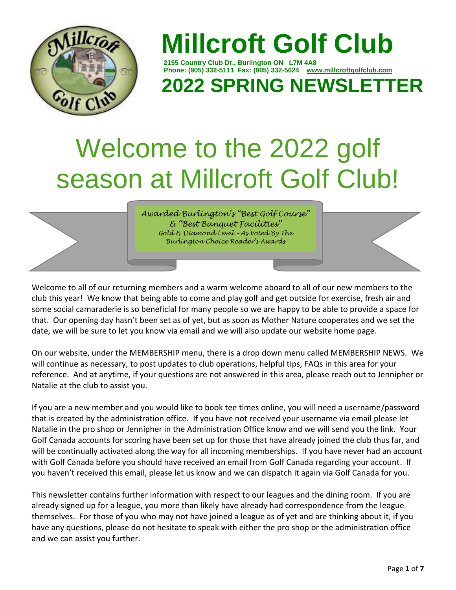

# **Millcroft Golf Club**

 **2155 Country Club Dr., Burlington ON L7M 4A8 Phone: (905) 332-5111 Fax: (905) 332-5624 [www.millcroftgolfclub.com](http://www.millcroftgolfclub.com/) 2022 SPRING NEWSLETTER**

# Welcome to the 2022 golf season at Millcroft Golf Club!

*Awarded Burlington's "Best Golf Course" & "Best Banquet Facilities" Gold & Diamond Level – As Voted By The Burlington Choice Reader's Awards* 

Welcome to all of our returning members and a warm welcome aboard to all of our new members to the club this year! We know that being able to come and play golf and get outside for exercise, fresh air and some social camaraderie is so beneficial for many people so we are happy to be able to provide a space for that. Our opening day hasn't been set as of yet, but as soon as Mother Nature cooperates and we set the date, we will be sure to let you know via email and we will also update our website home page.

On our website, under the MEMBERSHIP menu, there is a drop down menu called MEMBERSHIP NEWS. We will continue as necessary, to post updates to club operations, helpful tips, FAQs in this area for your reference. And at anytime, if your questions are not answered in this area, please reach out to Jennipher or Natalie at the club to assist you.

If you are a new member and you would like to book tee times online, you will need a username/password that is created by the administration office. If you have not received your username via email please let Natalie in the pro shop or Jennipher in the Administration Office know and we will send you the link. Your Golf Canada accounts for scoring have been set up for those that have already joined the club thus far, and will be continually activated along the way for all incoming memberships. If you have never had an account with Golf Canada before you should have received an email from Golf Canada regarding your account. If you haven't received this email, please let us know and we can dispatch it again via Golf Canada for you.

This newsletter contains further information with respect to our leagues and the dining room. If you are already signed up for a league, you more than likely have already had correspondence from the league themselves. For those of you who may not have joined a league as of yet and are thinking about it, if you have any questions, please do not hesitate to speak with either the pro shop or the administration office and we can assist you further.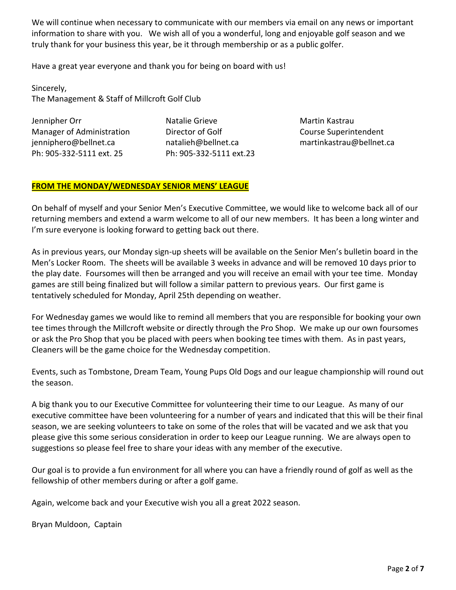We will continue when necessary to communicate with our members via email on any news or important information to share with you. We wish all of you a wonderful, long and enjoyable golf season and we truly thank for your business this year, be it through membership or as a public golfer.

Have a great year everyone and thank you for being on board with us!

Sincerely, The Management & Staff of Millcroft Golf Club

Jennipher Orr Natalie Grieve Martin Kastrau Manager of Administration **Director of Golf** Course Superintendent [jenniphero@bellnet.ca](mailto:jenniphero@bellnet.ca) [natalieh@bellnet.ca](mailto:natalieh@bellnet.ca) [martinkastrau@bellnet.ca](mailto:martinkastrau@bellnet.ca) Ph: 905-332-5111 ext. 25 Ph: 905-332-5111 ext.23

# **FROM THE MONDAY/WEDNESDAY SENIOR MENS' LEAGUE**

On behalf of myself and your Senior Men's Executive Committee, we would like to welcome back all of our returning members and extend a warm welcome to all of our new members. It has been a long winter and I'm sure everyone is looking forward to getting back out there.

As in previous years, our Monday sign-up sheets will be available on the Senior Men's bulletin board in the Men's Locker Room. The sheets will be available 3 weeks in advance and will be removed 10 days prior to the play date. Foursomes will then be arranged and you will receive an email with your tee time. Monday games are still being finalized but will follow a similar pattern to previous years. Our first game is tentatively scheduled for Monday, April 25th depending on weather.

For Wednesday games we would like to remind all members that you are responsible for booking your own tee times through the Millcroft website or directly through the Pro Shop. We make up our own foursomes or ask the Pro Shop that you be placed with peers when booking tee times with them. As in past years, Cleaners will be the game choice for the Wednesday competition.

Events, such as Tombstone, Dream Team, Young Pups Old Dogs and our league championship will round out the season.

A big thank you to our Executive Committee for volunteering their time to our League. As many of our executive committee have been volunteering for a number of years and indicated that this will be their final season, we are seeking volunteers to take on some of the roles that will be vacated and we ask that you please give this some serious consideration in order to keep our League running. We are always open to suggestions so please feel free to share your ideas with any member of the executive.

Our goal is to provide a fun environment for all where you can have a friendly round of golf as well as the fellowship of other members during or after a golf game.

Again, welcome back and your Executive wish you all a great 2022 season.

Bryan Muldoon, Captain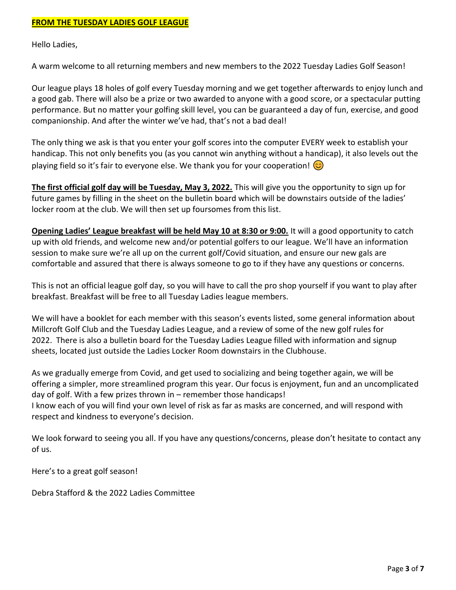Hello Ladies,

A warm welcome to all returning members and new members to the 2022 Tuesday Ladies Golf Season!

Our league plays 18 holes of golf every Tuesday morning and we get together afterwards to enjoy lunch and a good gab. There will also be a prize or two awarded to anyone with a good score, or a spectacular putting performance. But no matter your golfing skill level, you can be guaranteed a day of fun, exercise, and good companionship. And after the winter we've had, that's not a bad deal!

The only thing we ask is that you enter your golf scores into the computer EVERY week to establish your handicap. This not only benefits you (as you cannot win anything without a handicap), it also levels out the playing field so it's fair to everyone else. We thank you for your cooperation!  $\odot$ 

**The first official golf day will be Tuesday, May 3, 2022.** This will give you the opportunity to sign up for future games by filling in the sheet on the bulletin board which will be downstairs outside of the ladies' locker room at the club. We will then set up foursomes from this list.

**Opening Ladies' League breakfast will be held May 10 at 8:30 or 9:00.** It will a good opportunity to catch up with old friends, and welcome new and/or potential golfers to our league. We'll have an information session to make sure we're all up on the current golf/Covid situation, and ensure our new gals are comfortable and assured that there is always someone to go to if they have any questions or concerns.

This is not an official league golf day, so you will have to call the pro shop yourself if you want to play after breakfast. Breakfast will be free to all Tuesday Ladies league members.

We will have a booklet for each member with this season's events listed, some general information about Millcroft Golf Club and the Tuesday Ladies League, and a review of some of the new golf rules for 2022. There is also a bulletin board for the Tuesday Ladies League filled with information and signup sheets, located just outside the Ladies Locker Room downstairs in the Clubhouse.

As we gradually emerge from Covid, and get used to socializing and being together again, we will be offering a simpler, more streamlined program this year. Our focus is enjoyment, fun and an uncomplicated day of golf. With a few prizes thrown in – remember those handicaps!

I know each of you will find your own level of risk as far as masks are concerned, and will respond with respect and kindness to everyone's decision.

We look forward to seeing you all. If you have any questions/concerns, please don't hesitate to contact any of us.

Here's to a great golf season!

Debra Stafford & the 2022 Ladies Committee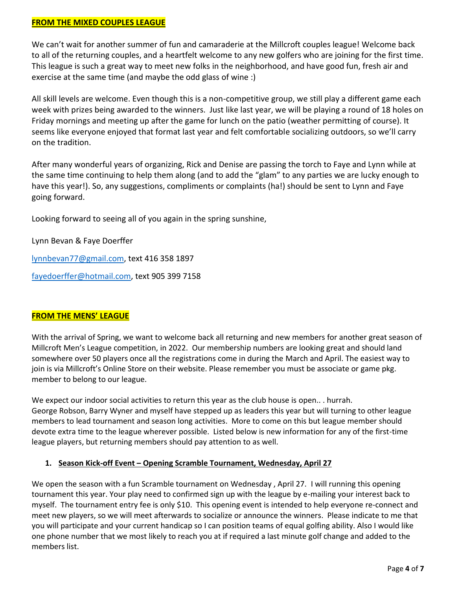# **FROM THE MIXED COUPLES LEAGUE**

We can't wait for another summer of fun and camaraderie at the Millcroft couples league! Welcome back to all of the returning couples, and a heartfelt welcome to any new golfers who are joining for the first time. This league is such a great way to meet new folks in the neighborhood, and have good fun, fresh air and exercise at the same time (and maybe the odd glass of wine :)

All skill levels are welcome. Even though this is a non-competitive group, we still play a different game each week with prizes being awarded to the winners. Just like last year, we will be playing a round of 18 holes on Friday mornings and meeting up after the game for lunch on the patio (weather permitting of course). It seems like everyone enjoyed that format last year and felt comfortable socializing outdoors, so we'll carry on the tradition.

After many wonderful years of organizing, Rick and Denise are passing the torch to Faye and Lynn while at the same time continuing to help them along (and to add the "glam" to any parties we are lucky enough to have this year!). So, any suggestions, compliments or complaints (ha!) should be sent to Lynn and Faye going forward.

Looking forward to seeing all of you again in the spring sunshine,

Lynn Bevan & Faye Doerffer [lynnbevan77@gmail.com,](mailto:lynnbevan77@gmail.com) text 416 358 1897 [fayedoerffer@hotmail.com,](mailto:fayedoerffer@hotmail.com) text 905 399 7158

# **FROM THE MENS' LEAGUE**

With the arrival of Spring, we want to welcome back all returning and new members for another great season of Millcroft Men's League competition, in 2022. Our membership numbers are looking great and should land somewhere over 50 players once all the registrations come in during the March and April. The easiest way to join is via Millcroft's Online Store on their website. Please remember you must be associate or game pkg. member to belong to our league.

We expect our indoor social activities to return this year as the club house is open... hurrah. George Robson, Barry Wyner and myself have stepped up as leaders this year but will turning to other league members to lead tournament and season long activities. More to come on this but league member should devote extra time to the league wherever possible. Listed below is new information for any of the first-time league players, but returning members should pay attention to as well.

# **1. Season Kick-off Event – Opening Scramble Tournament, Wednesday, April 27**

We open the season with a fun Scramble tournament on Wednesday, April 27. I will running this opening tournament this year. Your play need to confirmed sign up with the league by e-mailing your interest back to myself. The tournament entry fee is only \$10. This opening event is intended to help everyone re-connect and meet new players, so we will meet afterwards to socialize or announce the winners. Please indicate to me that you will participate and your current handicap so I can position teams of equal golfing ability. Also I would like one phone number that we most likely to reach you at if required a last minute golf change and added to the members list.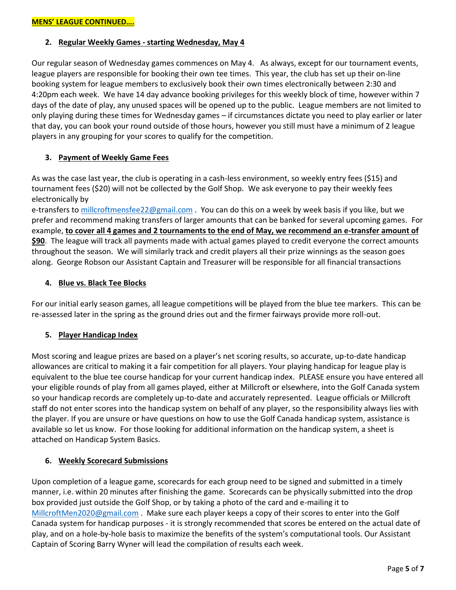# **2. Regular Weekly Games - starting Wednesday, May 4**

Our regular season of Wednesday games commences on May 4. As always, except for our tournament events, league players are responsible for booking their own tee times. This year, the club has set up their on-line booking system for league members to exclusively book their own times electronically between 2:30 and 4:20pm each week. We have 14 day advance booking privileges for this weekly block of time, however within 7 days of the date of play, any unused spaces will be opened up to the public. League members are not limited to only playing during these times for Wednesday games – if circumstances dictate you need to play earlier or later that day, you can book your round outside of those hours, however you still must have a minimum of 2 league players in any grouping for your scores to qualify for the competition.

# **3. Payment of Weekly Game Fees**

As was the case last year, the club is operating in a cash-less environment, so weekly entry fees (\$15) and tournament fees (\$20) will not be collected by the Golf Shop. We ask everyone to pay their weekly fees electronically by

e-transfers to [millcroftmensfee22@gmail.com](mailto:millcroftmensfee22@gmail.com). You can do this on a week by week basis if you like, but we prefer and recommend making transfers of larger amounts that can be banked for several upcoming games. For example, **to cover all 4 games and 2 tournaments to the end of May, we recommend an e-transfer amount of \$90**. The league will track all payments made with actual games played to credit everyone the correct amounts throughout the season. We will similarly track and credit players all their prize winnings as the season goes along. George Robson our Assistant Captain and Treasurer will be responsible for all financial transactions

## **4. Blue vs. Black Tee Blocks**

For our initial early season games, all league competitions will be played from the blue tee markers. This can be re-assessed later in the spring as the ground dries out and the firmer fairways provide more roll-out.

#### **5. Player Handicap Index**

Most scoring and league prizes are based on a player's net scoring results, so accurate, up-to-date handicap allowances are critical to making it a fair competition for all players. Your playing handicap for league play is equivalent to the blue tee course handicap for your current handicap index. PLEASE ensure you have entered all your eligible rounds of play from all games played, either at Millcroft or elsewhere, into the Golf Canada system so your handicap records are completely up-to-date and accurately represented. League officials or Millcroft staff do not enter scores into the handicap system on behalf of any player, so the responsibility always lies with the player. If you are unsure or have questions on how to use the Golf Canada handicap system, assistance is available so let us know. For those looking for additional information on the handicap system, a sheet is attached on Handicap System Basics.

#### **6. Weekly Scorecard Submissions**

Upon completion of a league game, scorecards for each group need to be signed and submitted in a timely manner, i.e. within 20 minutes after finishing the game. Scorecards can be physically submitted into the drop box provided just outside the Golf Shop, or by taking a photo of the card and e-mailing it to [MillcroftMen2020@gmail.com](mailto:MillcroftMen2020@gmail.com) . Make sure each player keeps a copy of their scores to enter into the Golf Canada system for handicap purposes - it is strongly recommended that scores be entered on the actual date of play, and on a hole-by-hole basis to maximize the benefits of the system's computational tools. Our Assistant Captain of Scoring Barry Wyner will lead the compilation of results each week.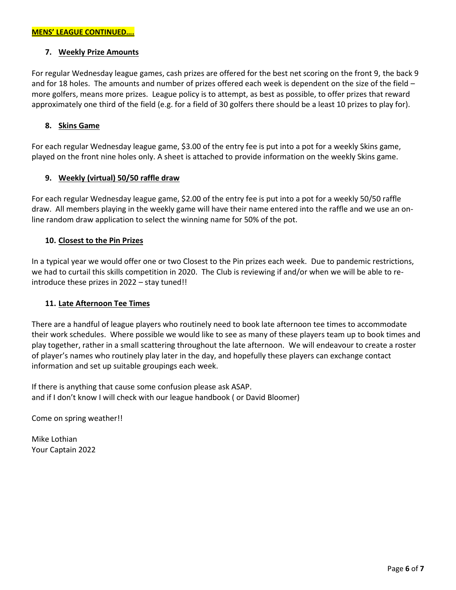## **7. Weekly Prize Amounts**

For regular Wednesday league games, cash prizes are offered for the best net scoring on the front 9, the back 9 and for 18 holes. The amounts and number of prizes offered each week is dependent on the size of the field – more golfers, means more prizes. League policy is to attempt, as best as possible, to offer prizes that reward approximately one third of the field (e.g. for a field of 30 golfers there should be a least 10 prizes to play for).

#### **8. Skins Game**

For each regular Wednesday league game, \$3.00 of the entry fee is put into a pot for a weekly Skins game, played on the front nine holes only. A sheet is attached to provide information on the weekly Skins game.

## **9. Weekly (virtual) 50/50 raffle draw**

For each regular Wednesday league game, \$2.00 of the entry fee is put into a pot for a weekly 50/50 raffle draw. All members playing in the weekly game will have their name entered into the raffle and we use an online random draw application to select the winning name for 50% of the pot.

## **10. Closest to the Pin Prizes**

In a typical year we would offer one or two Closest to the Pin prizes each week. Due to pandemic restrictions, we had to curtail this skills competition in 2020. The Club is reviewing if and/or when we will be able to reintroduce these prizes in 2022 – stay tuned!!

#### **11. Late Afternoon Tee Times**

There are a handful of league players who routinely need to book late afternoon tee times to accommodate their work schedules. Where possible we would like to see as many of these players team up to book times and play together, rather in a small scattering throughout the late afternoon. We will endeavour to create a roster of player's names who routinely play later in the day, and hopefully these players can exchange contact information and set up suitable groupings each week.

If there is anything that cause some confusion please ask ASAP. and if I don't know I will check with our league handbook ( or David Bloomer)

Come on spring weather!!

Mike Lothian Your Captain 2022